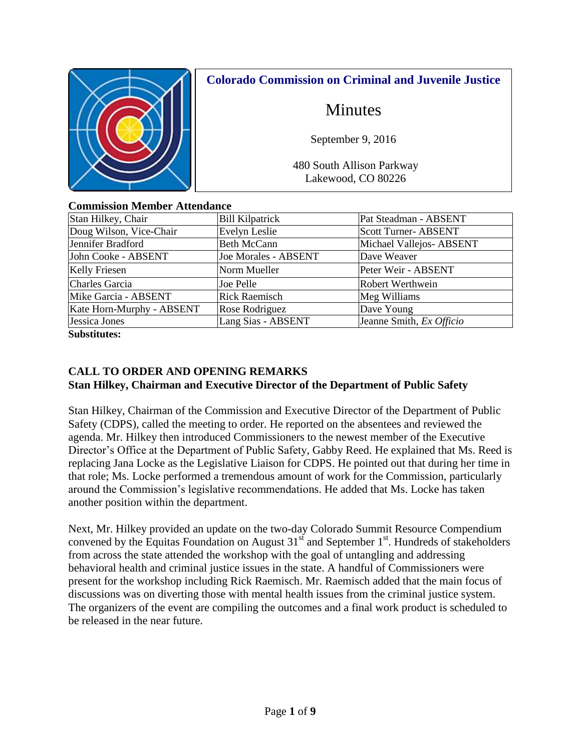

## **Colorado Commission on Criminal and Juvenile Justice**

# Minutes

September 9, 2016

480 South Allison Parkway Lakewood, CO 80226

|  | <b>Commission Member Attendance</b> |  |
|--|-------------------------------------|--|
|  |                                     |  |

| Stan Hilkey, Chair        | <b>Bill Kilpatrick</b>      | Pat Steadman - ABSENT       |
|---------------------------|-----------------------------|-----------------------------|
| Doug Wilson, Vice-Chair   | Evelyn Leslie               | <b>Scott Turner- ABSENT</b> |
| Jennifer Bradford         | <b>Beth McCann</b>          | Michael Vallejos-ABSENT     |
| John Cooke - ABSENT       | <b>Joe Morales - ABSENT</b> | Dave Weaver                 |
| <b>Kelly Friesen</b>      | Norm Mueller                | Peter Weir - ABSENT         |
| <b>Charles Garcia</b>     | Joe Pelle                   | Robert Werthwein            |
| Mike Garcia - ABSENT      | <b>Rick Raemisch</b>        | Meg Williams                |
| Kate Horn-Murphy - ABSENT | Rose Rodriguez              | Dave Young                  |
| Jessica Jones             | Lang Sias - ABSENT          | Jeanne Smith, Ex Officio    |
| $\sim$ $\sim$ $\sim$      |                             |                             |

**Substitutes:** 

## **CALL TO ORDER AND OPENING REMARKS Stan Hilkey, Chairman and Executive Director of the Department of Public Safety**

Stan Hilkey, Chairman of the Commission and Executive Director of the Department of Public Safety (CDPS), called the meeting to order. He reported on the absentees and reviewed the agenda. Mr. Hilkey then introduced Commissioners to the newest member of the Executive Director's Office at the Department of Public Safety, Gabby Reed. He explained that Ms. Reed is replacing Jana Locke as the Legislative Liaison for CDPS. He pointed out that during her time in that role; Ms. Locke performed a tremendous amount of work for the Commission, particularly around the Commission's legislative recommendations. He added that Ms. Locke has taken another position within the department.

Next, Mr. Hilkey provided an update on the two-day Colorado Summit Resource Compendium convened by the Equitas Foundation on August  $31<sup>st</sup>$  and September  $1<sup>st</sup>$ . Hundreds of stakeholders from across the state attended the workshop with the goal of untangling and addressing behavioral health and criminal justice issues in the state. A handful of Commissioners were present for the workshop including Rick Raemisch. Mr. Raemisch added that the main focus of discussions was on diverting those with mental health issues from the criminal justice system. The organizers of the event are compiling the outcomes and a final work product is scheduled to be released in the near future.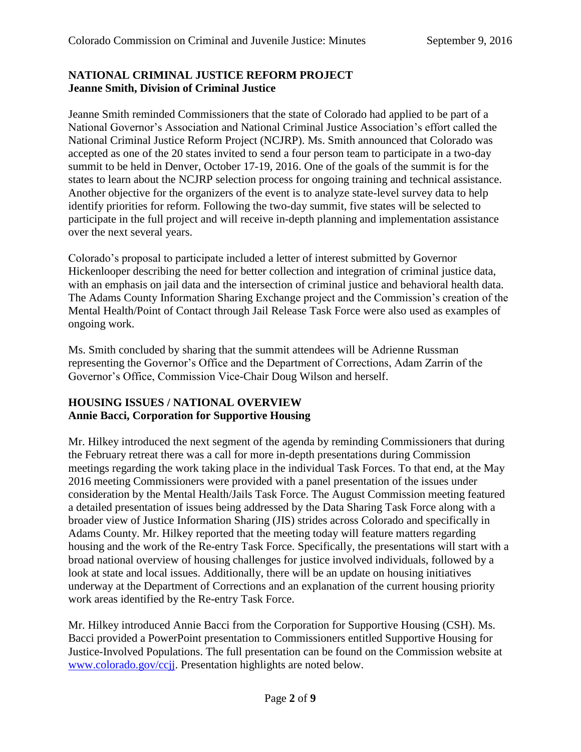## **NATIONAL CRIMINAL JUSTICE REFORM PROJECT Jeanne Smith, Division of Criminal Justice**

Jeanne Smith reminded Commissioners that the state of Colorado had applied to be part of a National Governor's Association and National Criminal Justice Association's effort called the National Criminal Justice Reform Project (NCJRP). Ms. Smith announced that Colorado was accepted as one of the 20 states invited to send a four person team to participate in a two-day summit to be held in Denver, October 17-19, 2016. One of the goals of the summit is for the states to learn about the NCJRP selection process for ongoing training and technical assistance. Another objective for the organizers of the event is to analyze state-level survey data to help identify priorities for reform. Following the two-day summit, five states will be selected to participate in the full project and will receive in-depth planning and implementation assistance over the next several years.

Colorado's proposal to participate included a letter of interest submitted by Governor Hickenlooper describing the need for better collection and integration of criminal justice data, with an emphasis on jail data and the intersection of criminal justice and behavioral health data. The Adams County Information Sharing Exchange project and the Commission's creation of the Mental Health/Point of Contact through Jail Release Task Force were also used as examples of ongoing work.

Ms. Smith concluded by sharing that the summit attendees will be Adrienne Russman representing the Governor's Office and the Department of Corrections, Adam Zarrin of the Governor's Office, Commission Vice-Chair Doug Wilson and herself.

## **HOUSING ISSUES / NATIONAL OVERVIEW Annie Bacci, Corporation for Supportive Housing**

Mr. Hilkey introduced the next segment of the agenda by reminding Commissioners that during the February retreat there was a call for more in-depth presentations during Commission meetings regarding the work taking place in the individual Task Forces. To that end, at the May 2016 meeting Commissioners were provided with a panel presentation of the issues under consideration by the Mental Health/Jails Task Force. The August Commission meeting featured a detailed presentation of issues being addressed by the Data Sharing Task Force along with a broader view of Justice Information Sharing (JIS) strides across Colorado and specifically in Adams County. Mr. Hilkey reported that the meeting today will feature matters regarding housing and the work of the Re-entry Task Force. Specifically, the presentations will start with a broad national overview of housing challenges for justice involved individuals, followed by a look at state and local issues. Additionally, there will be an update on housing initiatives underway at the Department of Corrections and an explanation of the current housing priority work areas identified by the Re-entry Task Force.

Mr. Hilkey introduced Annie Bacci from the Corporation for Supportive Housing (CSH). Ms. Bacci provided a PowerPoint presentation to Commissioners entitled Supportive Housing for Justice-Involved Populations. The full presentation can be found on the Commission website at [www.colorado.gov/ccjj.](http://www.colorado.gov/ccjj) Presentation highlights are noted below.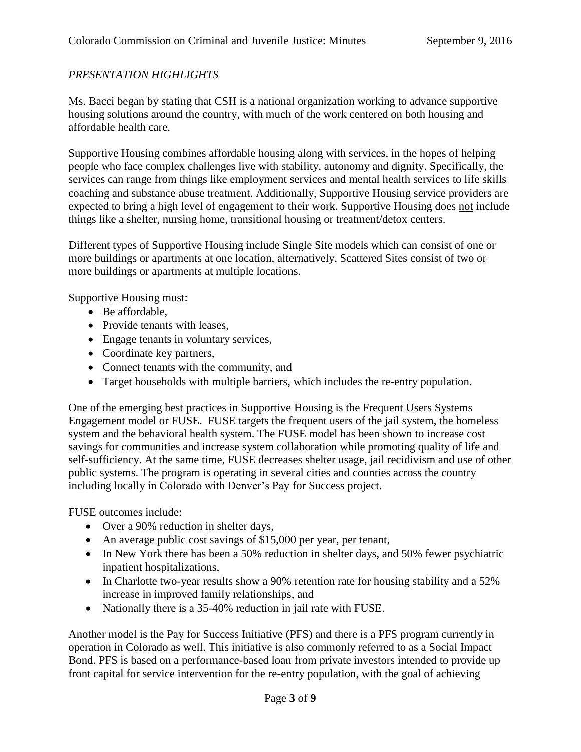## *PRESENTATION HIGHLIGHTS*

Ms. Bacci began by stating that CSH is a national organization working to advance supportive housing solutions around the country, with much of the work centered on both housing and affordable health care.

Supportive Housing combines affordable housing along with services, in the hopes of helping people who face complex challenges live with stability, autonomy and dignity. Specifically, the services can range from things like employment services and mental health services to life skills coaching and substance abuse treatment. Additionally, Supportive Housing service providers are expected to bring a high level of engagement to their work. Supportive Housing does not include things like a shelter, nursing home, transitional housing or treatment/detox centers.

Different types of Supportive Housing include Single Site models which can consist of one or more buildings or apartments at one location, alternatively, Scattered Sites consist of two or more buildings or apartments at multiple locations.

Supportive Housing must:

- Be affordable,
- Provide tenants with leases,
- Engage tenants in voluntary services,
- Coordinate key partners,
- Connect tenants with the community, and
- Target households with multiple barriers, which includes the re-entry population.

One of the emerging best practices in Supportive Housing is the Frequent Users Systems Engagement model or FUSE. FUSE targets the frequent users of the jail system, the homeless system and the behavioral health system. The FUSE model has been shown to increase cost savings for communities and increase system collaboration while promoting quality of life and self-sufficiency. At the same time, FUSE decreases shelter usage, jail recidivism and use of other public systems. The program is operating in several cities and counties across the country including locally in Colorado with Denver's Pay for Success project.

FUSE outcomes include:

- Over a 90% reduction in shelter days,
- An average public cost savings of \$15,000 per year, per tenant,
- In New York there has been a 50% reduction in shelter days, and 50% fewer psychiatric inpatient hospitalizations,
- In Charlotte two-year results show a 90% retention rate for housing stability and a 52% increase in improved family relationships, and
- Nationally there is a 35-40% reduction in jail rate with FUSE.

Another model is the Pay for Success Initiative (PFS) and there is a PFS program currently in operation in Colorado as well. This initiative is also commonly referred to as a Social Impact Bond. PFS is based on a performance-based loan from private investors intended to provide up front capital for service intervention for the re-entry population, with the goal of achieving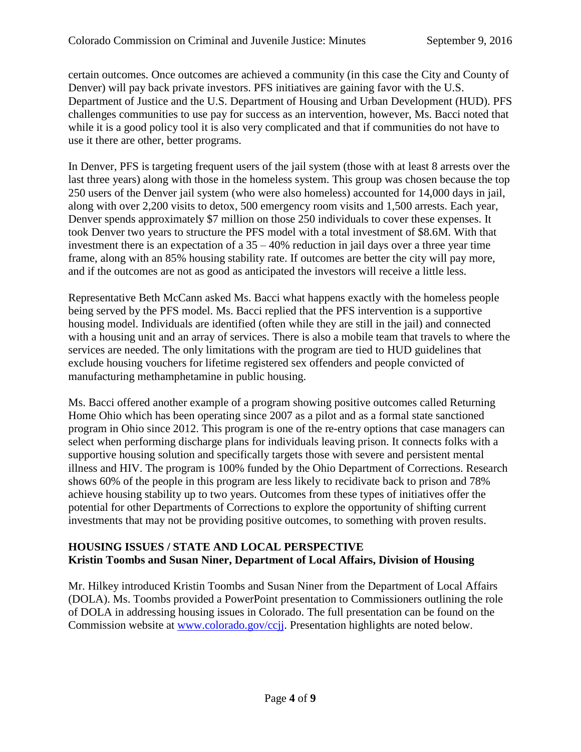certain outcomes. Once outcomes are achieved a community (in this case the City and County of Denver) will pay back private investors. PFS initiatives are gaining favor with the U.S. Department of Justice and the U.S. Department of Housing and Urban Development (HUD). PFS challenges communities to use pay for success as an intervention, however, Ms. Bacci noted that while it is a good policy tool it is also very complicated and that if communities do not have to use it there are other, better programs.

In Denver, PFS is targeting frequent users of the jail system (those with at least 8 arrests over the last three years) along with those in the homeless system. This group was chosen because the top 250 users of the Denver jail system (who were also homeless) accounted for 14,000 days in jail, along with over 2,200 visits to detox, 500 emergency room visits and 1,500 arrests. Each year, Denver spends approximately \$7 million on those 250 individuals to cover these expenses. It took Denver two years to structure the PFS model with a total investment of \$8.6M. With that investment there is an expectation of a  $35 - 40\%$  reduction in jail days over a three year time frame, along with an 85% housing stability rate. If outcomes are better the city will pay more, and if the outcomes are not as good as anticipated the investors will receive a little less.

Representative Beth McCann asked Ms. Bacci what happens exactly with the homeless people being served by the PFS model. Ms. Bacci replied that the PFS intervention is a supportive housing model. Individuals are identified (often while they are still in the jail) and connected with a housing unit and an array of services. There is also a mobile team that travels to where the services are needed. The only limitations with the program are tied to HUD guidelines that exclude housing vouchers for lifetime registered sex offenders and people convicted of manufacturing methamphetamine in public housing.

Ms. Bacci offered another example of a program showing positive outcomes called Returning Home Ohio which has been operating since 2007 as a pilot and as a formal state sanctioned program in Ohio since 2012. This program is one of the re-entry options that case managers can select when performing discharge plans for individuals leaving prison. It connects folks with a supportive housing solution and specifically targets those with severe and persistent mental illness and HIV. The program is 100% funded by the Ohio Department of Corrections. Research shows 60% of the people in this program are less likely to recidivate back to prison and 78% achieve housing stability up to two years. Outcomes from these types of initiatives offer the potential for other Departments of Corrections to explore the opportunity of shifting current investments that may not be providing positive outcomes, to something with proven results.

#### **HOUSING ISSUES / STATE AND LOCAL PERSPECTIVE Kristin Toombs and Susan Niner, Department of Local Affairs, Division of Housing**

Mr. Hilkey introduced Kristin Toombs and Susan Niner from the Department of Local Affairs (DOLA). Ms. Toombs provided a PowerPoint presentation to Commissioners outlining the role of DOLA in addressing housing issues in Colorado. The full presentation can be found on the Commission website at [www.colorado.gov/ccjj.](http://www.colorado.gov/ccjj) Presentation highlights are noted below.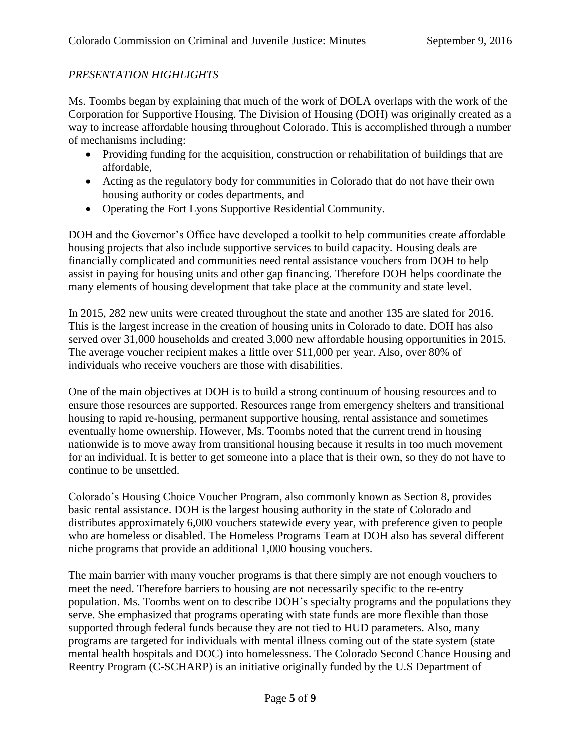## *PRESENTATION HIGHLIGHTS*

Ms. Toombs began by explaining that much of the work of DOLA overlaps with the work of the Corporation for Supportive Housing. The Division of Housing (DOH) was originally created as a way to increase affordable housing throughout Colorado. This is accomplished through a number of mechanisms including:

- Providing funding for the acquisition, construction or rehabilitation of buildings that are affordable,
- Acting as the regulatory body for communities in Colorado that do not have their own housing authority or codes departments, and
- Operating the Fort Lyons Supportive Residential Community.

DOH and the Governor's Office have developed a toolkit to help communities create affordable housing projects that also include supportive services to build capacity. Housing deals are financially complicated and communities need rental assistance vouchers from DOH to help assist in paying for housing units and other gap financing. Therefore DOH helps coordinate the many elements of housing development that take place at the community and state level.

In 2015, 282 new units were created throughout the state and another 135 are slated for 2016. This is the largest increase in the creation of housing units in Colorado to date. DOH has also served over 31,000 households and created 3,000 new affordable housing opportunities in 2015. The average voucher recipient makes a little over \$11,000 per year. Also, over 80% of individuals who receive vouchers are those with disabilities.

One of the main objectives at DOH is to build a strong continuum of housing resources and to ensure those resources are supported. Resources range from emergency shelters and transitional housing to rapid re-housing, permanent supportive housing, rental assistance and sometimes eventually home ownership. However, Ms. Toombs noted that the current trend in housing nationwide is to move away from transitional housing because it results in too much movement for an individual. It is better to get someone into a place that is their own, so they do not have to continue to be unsettled.

Colorado's Housing Choice Voucher Program, also commonly known as Section 8, provides basic rental assistance. DOH is the largest housing authority in the state of Colorado and distributes approximately 6,000 vouchers statewide every year, with preference given to people who are homeless or disabled. The Homeless Programs Team at DOH also has several different niche programs that provide an additional 1,000 housing vouchers.

The main barrier with many voucher programs is that there simply are not enough vouchers to meet the need. Therefore barriers to housing are not necessarily specific to the re-entry population. Ms. Toombs went on to describe DOH's specialty programs and the populations they serve. She emphasized that programs operating with state funds are more flexible than those supported through federal funds because they are not tied to HUD parameters. Also, many programs are targeted for individuals with mental illness coming out of the state system (state mental health hospitals and DOC) into homelessness. The Colorado Second Chance Housing and Reentry Program (C-SCHARP) is an initiative originally funded by the U.S Department of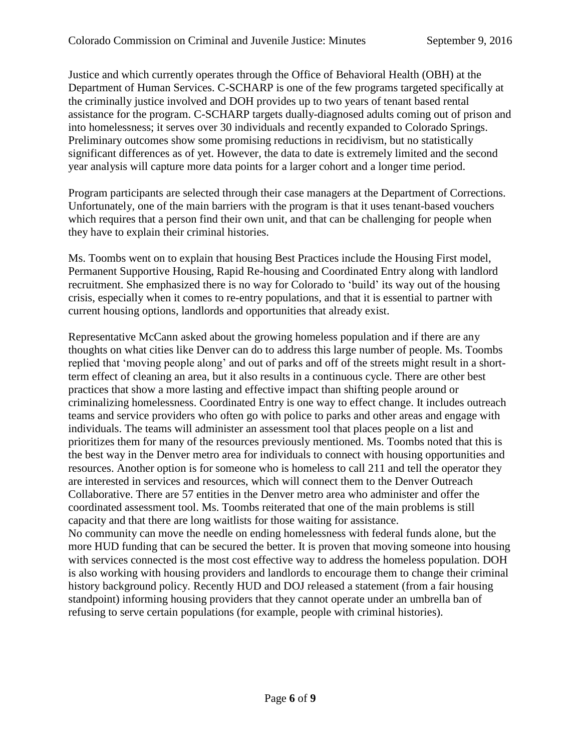Justice and which currently operates through the Office of Behavioral Health (OBH) at the Department of Human Services. C-SCHARP is one of the few programs targeted specifically at the criminally justice involved and DOH provides up to two years of tenant based rental assistance for the program. C-SCHARP targets dually-diagnosed adults coming out of prison and into homelessness; it serves over 30 individuals and recently expanded to Colorado Springs. Preliminary outcomes show some promising reductions in recidivism, but no statistically significant differences as of yet. However, the data to date is extremely limited and the second year analysis will capture more data points for a larger cohort and a longer time period.

Program participants are selected through their case managers at the Department of Corrections. Unfortunately, one of the main barriers with the program is that it uses tenant-based vouchers which requires that a person find their own unit, and that can be challenging for people when they have to explain their criminal histories.

Ms. Toombs went on to explain that housing Best Practices include the Housing First model, Permanent Supportive Housing, Rapid Re-housing and Coordinated Entry along with landlord recruitment. She emphasized there is no way for Colorado to 'build' its way out of the housing crisis, especially when it comes to re-entry populations, and that it is essential to partner with current housing options, landlords and opportunities that already exist.

Representative McCann asked about the growing homeless population and if there are any thoughts on what cities like Denver can do to address this large number of people. Ms. Toombs replied that 'moving people along' and out of parks and off of the streets might result in a shortterm effect of cleaning an area, but it also results in a continuous cycle. There are other best practices that show a more lasting and effective impact than shifting people around or criminalizing homelessness. Coordinated Entry is one way to effect change. It includes outreach teams and service providers who often go with police to parks and other areas and engage with individuals. The teams will administer an assessment tool that places people on a list and prioritizes them for many of the resources previously mentioned. Ms. Toombs noted that this is the best way in the Denver metro area for individuals to connect with housing opportunities and resources. Another option is for someone who is homeless to call 211 and tell the operator they are interested in services and resources, which will connect them to the Denver Outreach Collaborative. There are 57 entities in the Denver metro area who administer and offer the coordinated assessment tool. Ms. Toombs reiterated that one of the main problems is still capacity and that there are long waitlists for those waiting for assistance. No community can move the needle on ending homelessness with federal funds alone, but the

more HUD funding that can be secured the better. It is proven that moving someone into housing with services connected is the most cost effective way to address the homeless population. DOH is also working with housing providers and landlords to encourage them to change their criminal history background policy. Recently HUD and DOJ released a statement (from a fair housing standpoint) informing housing providers that they cannot operate under an umbrella ban of refusing to serve certain populations (for example, people with criminal histories).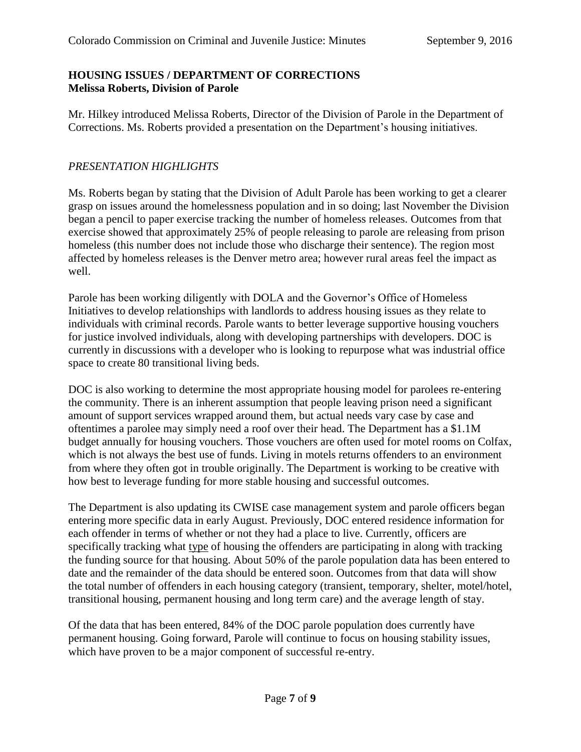#### **HOUSING ISSUES / DEPARTMENT OF CORRECTIONS Melissa Roberts, Division of Parole**

Mr. Hilkey introduced Melissa Roberts, Director of the Division of Parole in the Department of Corrections. Ms. Roberts provided a presentation on the Department's housing initiatives.

## *PRESENTATION HIGHLIGHTS*

Ms. Roberts began by stating that the Division of Adult Parole has been working to get a clearer grasp on issues around the homelessness population and in so doing; last November the Division began a pencil to paper exercise tracking the number of homeless releases. Outcomes from that exercise showed that approximately 25% of people releasing to parole are releasing from prison homeless (this number does not include those who discharge their sentence). The region most affected by homeless releases is the Denver metro area; however rural areas feel the impact as well.

Parole has been working diligently with DOLA and the Governor's Office of Homeless Initiatives to develop relationships with landlords to address housing issues as they relate to individuals with criminal records. Parole wants to better leverage supportive housing vouchers for justice involved individuals, along with developing partnerships with developers. DOC is currently in discussions with a developer who is looking to repurpose what was industrial office space to create 80 transitional living beds.

DOC is also working to determine the most appropriate housing model for parolees re-entering the community. There is an inherent assumption that people leaving prison need a significant amount of support services wrapped around them, but actual needs vary case by case and oftentimes a parolee may simply need a roof over their head. The Department has a \$1.1M budget annually for housing vouchers. Those vouchers are often used for motel rooms on Colfax, which is not always the best use of funds. Living in motels returns offenders to an environment from where they often got in trouble originally. The Department is working to be creative with how best to leverage funding for more stable housing and successful outcomes.

The Department is also updating its CWISE case management system and parole officers began entering more specific data in early August. Previously, DOC entered residence information for each offender in terms of whether or not they had a place to live. Currently, officers are specifically tracking what type of housing the offenders are participating in along with tracking the funding source for that housing. About 50% of the parole population data has been entered to date and the remainder of the data should be entered soon. Outcomes from that data will show the total number of offenders in each housing category (transient, temporary, shelter, motel/hotel, transitional housing, permanent housing and long term care) and the average length of stay.

Of the data that has been entered, 84% of the DOC parole population does currently have permanent housing. Going forward, Parole will continue to focus on housing stability issues, which have proven to be a major component of successful re-entry.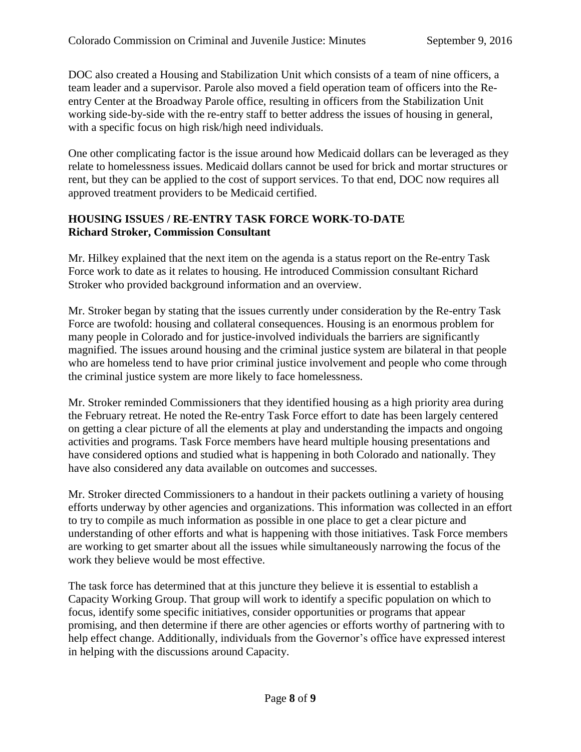DOC also created a Housing and Stabilization Unit which consists of a team of nine officers, a team leader and a supervisor. Parole also moved a field operation team of officers into the Reentry Center at the Broadway Parole office, resulting in officers from the Stabilization Unit working side-by-side with the re-entry staff to better address the issues of housing in general, with a specific focus on high risk/high need individuals.

One other complicating factor is the issue around how Medicaid dollars can be leveraged as they relate to homelessness issues. Medicaid dollars cannot be used for brick and mortar structures or rent, but they can be applied to the cost of support services. To that end, DOC now requires all approved treatment providers to be Medicaid certified.

## **HOUSING ISSUES / RE-ENTRY TASK FORCE WORK-TO-DATE Richard Stroker, Commission Consultant**

Mr. Hilkey explained that the next item on the agenda is a status report on the Re-entry Task Force work to date as it relates to housing. He introduced Commission consultant Richard Stroker who provided background information and an overview.

Mr. Stroker began by stating that the issues currently under consideration by the Re-entry Task Force are twofold: housing and collateral consequences. Housing is an enormous problem for many people in Colorado and for justice-involved individuals the barriers are significantly magnified. The issues around housing and the criminal justice system are bilateral in that people who are homeless tend to have prior criminal justice involvement and people who come through the criminal justice system are more likely to face homelessness.

Mr. Stroker reminded Commissioners that they identified housing as a high priority area during the February retreat. He noted the Re-entry Task Force effort to date has been largely centered on getting a clear picture of all the elements at play and understanding the impacts and ongoing activities and programs. Task Force members have heard multiple housing presentations and have considered options and studied what is happening in both Colorado and nationally. They have also considered any data available on outcomes and successes.

Mr. Stroker directed Commissioners to a handout in their packets outlining a variety of housing efforts underway by other agencies and organizations. This information was collected in an effort to try to compile as much information as possible in one place to get a clear picture and understanding of other efforts and what is happening with those initiatives. Task Force members are working to get smarter about all the issues while simultaneously narrowing the focus of the work they believe would be most effective.

The task force has determined that at this juncture they believe it is essential to establish a Capacity Working Group. That group will work to identify a specific population on which to focus, identify some specific initiatives, consider opportunities or programs that appear promising, and then determine if there are other agencies or efforts worthy of partnering with to help effect change. Additionally, individuals from the Governor's office have expressed interest in helping with the discussions around Capacity.